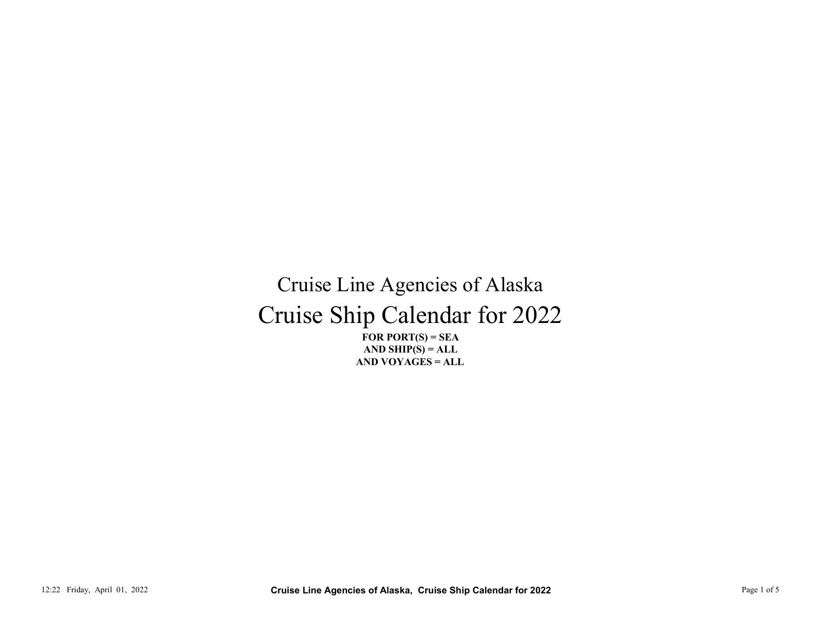## Cruise Ship Calendar for 2022 Cruise Line Agencies of Alaska 12:22 Friday, April 01, 2022<br>
12:22 Friday, April 01, 2022<br>
12:22 Friday, April 01, 2022<br>
12:22 Page 1 of 5 Cruise Line Agencies of Alaska, Cruise Ship Calendar for 2022<br>
12:22 Friday, April 01, 2022<br>
12:22 Friday, April

FOR PORT $(S)$  = SEA AND VOYAGES = ALL AND SHIP $(S) = ALL$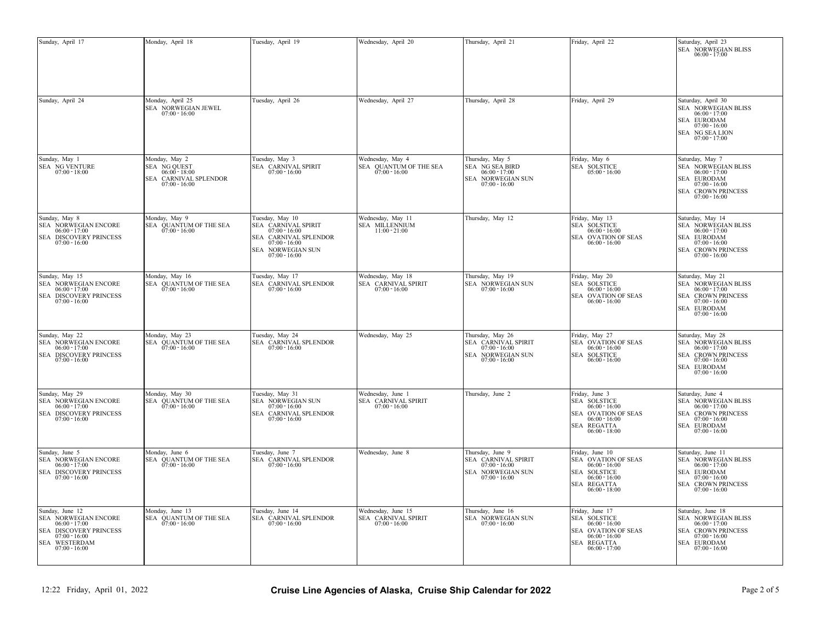| Wednesday, April 27<br>Friday, April 29<br>Monday, April 25<br>Tuesday, April 26<br>Thursday, April 28<br>Saturday, April 30<br>SEA NORWEGIAN JEWEL<br>SEA NORWEGIAN BLISS<br>$07:00 - 16:00$<br>$06:00 - 17:00$<br>SEA EURODAM<br>$07:00 - 16:00$<br>SEA NG SEA LION<br>$07:00 - 17:00$<br>Monday, May 2<br>Tuesday, May 3<br>Wednesday, May 4<br>Thursday, May 5<br>Friday, May 6<br>Saturday, May 7<br>SEA SOLSTICE<br>SEA NG QUEST<br>SEA CARNIVAL SPIRIT<br>SEA QUANTUM OF THE SEA $07:00$ - $16:00$<br><b>SEA NG SEA BIRD</b><br>SEA NORWEGIAN BLISS<br>$07:00 - 18:00$<br>$07:00 - 16:00$<br>$06:00 - 17:00$<br>$05:00 - 16:00$<br>$06:00 - 17:00$<br>$06:00 - 18:00$<br>SEA CARNIVAL SPLENDOR<br>SEA NORWEGIAN SUN<br>SEA EURODAM<br>$07:00 - 16:00$<br>$07:00 - 16:00$<br>$07:00 - 16:00$<br><b>SEA CROWN PRINCESS</b><br>$07:00 - 16:00$<br>Monday, May 9<br>Thursday, May 12<br>Friday, May 13<br>Tuesday, May 10<br>Wednesday, May 11<br>Saturday, May 14<br>SEA MILLENNIUM<br><b>SEA SOLSTICE</b><br>SEA NORWEGIAN BLISS<br>SEA QUANTUM OF THE SEA<br>SEA CARNIVAL SPIRIT<br>$07:00 - 16:00$<br>$11:00 - 21:00$<br>$06:00 - 16:00$<br>$06:00 - 17:00$<br>$06:00 - 17:00$<br>$07:00 - 16:00$<br>SEA EURODAM<br>SEA CARNIVAL SPLENDOR<br>SEA OVATION OF SEAS<br>$07:00 - 16:00$<br>$07:00 - 16:00$<br>$07:00 - 16:00$<br>$06:00 - 16:00$<br>SEA CROWN PRINCESS<br>SEA NORWEGIAN SUN<br>$07:00 - 16:00$<br>$07:00 - 16:00$<br>Monday, May 16<br>Thursday, May 19<br>Friday, May 20<br>Tuesday, May 17<br>Wednesday, May 18<br>Saturday, May 21<br>SEA QUANTUM OF THE SEA<br>SEA CARNIVAL SPLENDOR<br>SEA CARNIVAL SPIRIT<br>SEA NORWEGIAN SUN<br>SEA SOLSTICE<br>SEA NORWEGIAN BLISS<br>$06:00 - 17:00$<br>$07:00 - 16:00$<br>$07:00 - 16:00$<br>$07:00 - 16:00$<br>$07:00 - 16:00$<br>$06:00 - 16:00$<br>$06:00 - 17:00$<br>SEA CROWN PRINCESS<br>SEA OVATION OF SEAS<br>$07:00 - 16:00$<br>$06:00 - 16:00$<br>$07:00 - 16:00$<br>SEA EURODAM<br>$07:00 - 16:00$<br>Monday, May 23<br>Thursday, May 26<br>Saturday, May 28<br>Tuesday, May 24<br>Wednesday, May 25<br>Friday, May 27<br>SEA CARNIVAL SPIRIT<br>SEA CARNIVAL SPLENDOR<br>SEA OVATION OF SEAS<br>SEA NORWEGIAN BLISS<br>SEA QUANTUM OF THE SEA $07:00 - 16:00$<br>$07:00 - 16:00$<br>$06:00 - 17:00$<br>$07:00 - 16:00$<br>$06:00 - 16:00$<br>$06:00 - 17:00$<br>SEA SOLSTICE<br>SEA CROWN PRINCESS $07:00 - 16:00$<br>SEA NORWEGIAN SUN $07{:}00 \cdot 16{:}00$<br>$07:00 - 16:00$<br>$06:00 - 16:00$<br>SEA EURODAM<br>$07:00 - 16:00$<br>Monday, May 30<br>Tuesday, May 31<br>Wednesday, June 1<br>Thursday, June 2<br>Friday, June 3<br>Saturday, June 4<br>SEA QUANTUM OF THE SEA<br>SEA CARNIVAL SPIRIT $07{:}00 \cdot 16{:}00$<br>SEA SOLSTICE<br>SEA NORWEGIAN BLISS<br>SEA NORWEGIAN SUN<br>$07:00 - 16:00$<br>$06:00 - 16:00$<br>$06:00 - 17:00$<br>$07:00 - 16:00$<br>$06:00 - 17:00$<br>SEA OVATION OF SEAS<br>SEA CROWN PRINCESS<br>SEA CARNIVAL SPLENDOR<br>$07:00 - 16:00$<br>$07:00 - 16:00$<br>$07:00 - 16:00$<br>$06:00 - 16:00$<br>SEA REGATTA<br>SEA EURODAM<br>$06:00 - 18:00$<br>$07:00 - 16:00$<br>Friday, June 10<br>Monday, June 6<br>Tuesday, June 7<br>Wednesday, June 8<br>Thursday, June 9<br>Saturday, June 11<br>SEA QUANTUM OF THE SEA<br>SEA CARNIVAL SPLENDOR<br>SEA CARNIVAL SPIRIT<br>SEA OVATION OF SEAS<br>SEA NORWEGIAN BLISS<br>$06:00 - 17:00$<br>$07:00 - 16:00$<br>$07:00 - 16:00$<br>$07:00 - 16:00$<br>$06:00 - 16:00$<br>$06:00 - 17:00$<br>SEA EURODAM<br>SEA NORWEGIAN SUN<br><b>SEA SOLSTICE</b><br>$07:00 - 16:00$<br>$07:00 - 16:00$<br>$06:00 - 16:00$<br>$07:00 - 16:00$<br>SEA REGATTA<br>SEA CROWN PRINCESS<br>$06:00 - 18:00$<br>$07:00 - 16:00$<br>Wednesday, June 15<br>Thursday, June 16<br>Friday, June 17<br>Saturday, June 18<br>Monday, June 13<br>Tuesday, June 14<br><b>SEA</b> SOLSTICE<br>SEA CARNIVAL SPLENDOR | Sunday, April 17                                                                                      | Monday, April 18                       | Tuesday, April 19 | Wednesday, April 20               | Thursday, April 21                | Friday, April 22 | Saturday, April 23<br>SEA NORWEGIAN BLISS<br>$06:00 - 17:00$ |
|-------------------------------------------------------------------------------------------------------------------------------------------------------------------------------------------------------------------------------------------------------------------------------------------------------------------------------------------------------------------------------------------------------------------------------------------------------------------------------------------------------------------------------------------------------------------------------------------------------------------------------------------------------------------------------------------------------------------------------------------------------------------------------------------------------------------------------------------------------------------------------------------------------------------------------------------------------------------------------------------------------------------------------------------------------------------------------------------------------------------------------------------------------------------------------------------------------------------------------------------------------------------------------------------------------------------------------------------------------------------------------------------------------------------------------------------------------------------------------------------------------------------------------------------------------------------------------------------------------------------------------------------------------------------------------------------------------------------------------------------------------------------------------------------------------------------------------------------------------------------------------------------------------------------------------------------------------------------------------------------------------------------------------------------------------------------------------------------------------------------------------------------------------------------------------------------------------------------------------------------------------------------------------------------------------------------------------------------------------------------------------------------------------------------------------------------------------------------------------------------------------------------------------------------------------------------------------------------------------------------------------------------------------------------------------------------------------------------------------------------------------------------------------------------------------------------------------------------------------------------------------------------------------------------------------------------------------------------------------------------------------------------------------------------------------------------------------------------------------------------------------------------------------------------------------------------------------------------------------------------------------------------------------------------------------------------------------------------------------------------------------------------------------------------------------------------------------------------------------------------------------------------------------------------------------------------------------------------------------------------------------------------------------------------------------------------------------------------------------------------------------------------------------------------------------------------------------------------------------------|-------------------------------------------------------------------------------------------------------|----------------------------------------|-------------------|-----------------------------------|-----------------------------------|------------------|--------------------------------------------------------------|
|                                                                                                                                                                                                                                                                                                                                                                                                                                                                                                                                                                                                                                                                                                                                                                                                                                                                                                                                                                                                                                                                                                                                                                                                                                                                                                                                                                                                                                                                                                                                                                                                                                                                                                                                                                                                                                                                                                                                                                                                                                                                                                                                                                                                                                                                                                                                                                                                                                                                                                                                                                                                                                                                                                                                                                                                                                                                                                                                                                                                                                                                                                                                                                                                                                                                                                                                                                                                                                                                                                                                                                                                                                                                                                                                                                                                                                                             | Sunday, April 24                                                                                      |                                        |                   |                                   |                                   |                  |                                                              |
|                                                                                                                                                                                                                                                                                                                                                                                                                                                                                                                                                                                                                                                                                                                                                                                                                                                                                                                                                                                                                                                                                                                                                                                                                                                                                                                                                                                                                                                                                                                                                                                                                                                                                                                                                                                                                                                                                                                                                                                                                                                                                                                                                                                                                                                                                                                                                                                                                                                                                                                                                                                                                                                                                                                                                                                                                                                                                                                                                                                                                                                                                                                                                                                                                                                                                                                                                                                                                                                                                                                                                                                                                                                                                                                                                                                                                                                             | Sunday, May 1<br>SEA NG VENTURE                                                                       |                                        |                   |                                   |                                   |                  |                                                              |
|                                                                                                                                                                                                                                                                                                                                                                                                                                                                                                                                                                                                                                                                                                                                                                                                                                                                                                                                                                                                                                                                                                                                                                                                                                                                                                                                                                                                                                                                                                                                                                                                                                                                                                                                                                                                                                                                                                                                                                                                                                                                                                                                                                                                                                                                                                                                                                                                                                                                                                                                                                                                                                                                                                                                                                                                                                                                                                                                                                                                                                                                                                                                                                                                                                                                                                                                                                                                                                                                                                                                                                                                                                                                                                                                                                                                                                                             | Sunday, May 8<br>SEA NORWEGIAN ENCORE<br>SEA DISCOVERY PRINCESS                                       |                                        |                   |                                   |                                   |                  |                                                              |
|                                                                                                                                                                                                                                                                                                                                                                                                                                                                                                                                                                                                                                                                                                                                                                                                                                                                                                                                                                                                                                                                                                                                                                                                                                                                                                                                                                                                                                                                                                                                                                                                                                                                                                                                                                                                                                                                                                                                                                                                                                                                                                                                                                                                                                                                                                                                                                                                                                                                                                                                                                                                                                                                                                                                                                                                                                                                                                                                                                                                                                                                                                                                                                                                                                                                                                                                                                                                                                                                                                                                                                                                                                                                                                                                                                                                                                                             | Sunday, May 15<br>SEA NORWEGIAN ENCORE<br>SEA DISCOVERY PRINCESS                                      |                                        |                   |                                   |                                   |                  |                                                              |
|                                                                                                                                                                                                                                                                                                                                                                                                                                                                                                                                                                                                                                                                                                                                                                                                                                                                                                                                                                                                                                                                                                                                                                                                                                                                                                                                                                                                                                                                                                                                                                                                                                                                                                                                                                                                                                                                                                                                                                                                                                                                                                                                                                                                                                                                                                                                                                                                                                                                                                                                                                                                                                                                                                                                                                                                                                                                                                                                                                                                                                                                                                                                                                                                                                                                                                                                                                                                                                                                                                                                                                                                                                                                                                                                                                                                                                                             | Sunday, May 22<br>SEA NORWEGIAN ENCORE<br>SEA DISCOVERY PRINCESS                                      |                                        |                   |                                   |                                   |                  |                                                              |
|                                                                                                                                                                                                                                                                                                                                                                                                                                                                                                                                                                                                                                                                                                                                                                                                                                                                                                                                                                                                                                                                                                                                                                                                                                                                                                                                                                                                                                                                                                                                                                                                                                                                                                                                                                                                                                                                                                                                                                                                                                                                                                                                                                                                                                                                                                                                                                                                                                                                                                                                                                                                                                                                                                                                                                                                                                                                                                                                                                                                                                                                                                                                                                                                                                                                                                                                                                                                                                                                                                                                                                                                                                                                                                                                                                                                                                                             | Sunday, May 29<br>SEA NORWEGIAN ENCORE<br>SEA DISCOVERY PRINCESS                                      |                                        |                   |                                   |                                   |                  |                                                              |
|                                                                                                                                                                                                                                                                                                                                                                                                                                                                                                                                                                                                                                                                                                                                                                                                                                                                                                                                                                                                                                                                                                                                                                                                                                                                                                                                                                                                                                                                                                                                                                                                                                                                                                                                                                                                                                                                                                                                                                                                                                                                                                                                                                                                                                                                                                                                                                                                                                                                                                                                                                                                                                                                                                                                                                                                                                                                                                                                                                                                                                                                                                                                                                                                                                                                                                                                                                                                                                                                                                                                                                                                                                                                                                                                                                                                                                                             | Sunday, June 5<br>SEA NORWEGIAN ENCORE<br>SEA DISCOVERY PRINCESS                                      |                                        |                   |                                   |                                   |                  |                                                              |
| SEA OVATION OF SEAS<br>SEA CROWN PRINCESS $07:00$ - $16:00$<br>$07:00 - 16:00$<br>$06:00 - 16:00$<br>SEA REGATTA<br>SEA EURODAM<br>$07:00 - 16:00$<br>$06:00 - 17:00$<br>$07:00 - 16:00$                                                                                                                                                                                                                                                                                                                                                                                                                                                                                                                                                                                                                                                                                                                                                                                                                                                                                                                                                                                                                                                                                                                                                                                                                                                                                                                                                                                                                                                                                                                                                                                                                                                                                                                                                                                                                                                                                                                                                                                                                                                                                                                                                                                                                                                                                                                                                                                                                                                                                                                                                                                                                                                                                                                                                                                                                                                                                                                                                                                                                                                                                                                                                                                                                                                                                                                                                                                                                                                                                                                                                                                                                                                                    | Sunday, June 12<br>SEA NORWEGIAN ENCORE<br>$06:00 - 17:00$<br>SEA DISCOVERY PRINCESS<br>SEA WESTERDAM | SEA QUANTUM OF THE SEA $07:00 - 16:00$ | $07:00 - 16:00$   | SEA CARNIVAL SPIRIT 07:00 - 16:00 | SEA NORWEGIAN SUN $07:00 - 16:00$ | $06:00 - 16:00$  | SEA NORWEGIAN BLISS $06:00 - 17:00$                          |
| Cruise Line Agencies of Alaska, Cruise Ship Calendar for 2022<br>Page 2 of 5<br>12:22 Friday, April 01, 2022                                                                                                                                                                                                                                                                                                                                                                                                                                                                                                                                                                                                                                                                                                                                                                                                                                                                                                                                                                                                                                                                                                                                                                                                                                                                                                                                                                                                                                                                                                                                                                                                                                                                                                                                                                                                                                                                                                                                                                                                                                                                                                                                                                                                                                                                                                                                                                                                                                                                                                                                                                                                                                                                                                                                                                                                                                                                                                                                                                                                                                                                                                                                                                                                                                                                                                                                                                                                                                                                                                                                                                                                                                                                                                                                                |                                                                                                       |                                        |                   |                                   |                                   |                  |                                                              |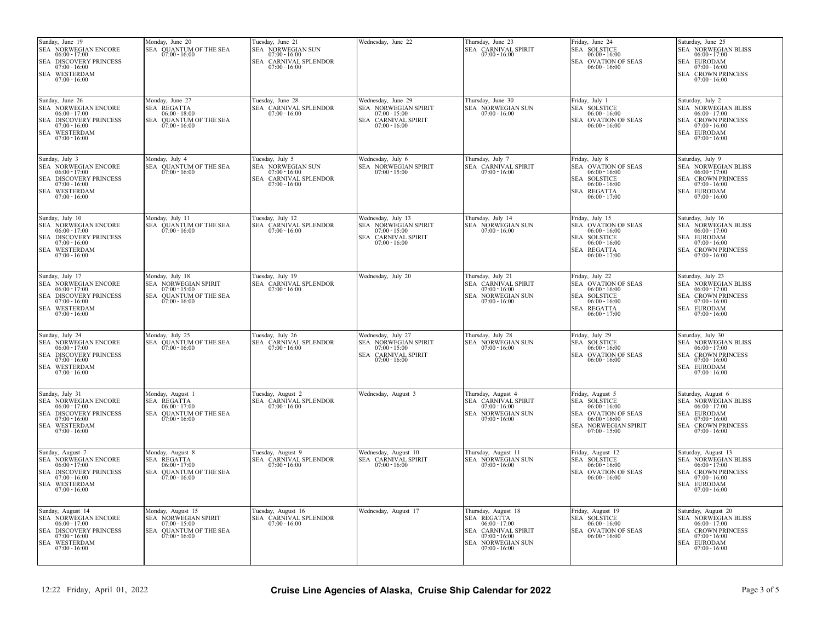| Sunday, June 26<br>Wednesday, June 29<br>Friday, July 1<br>Saturday, July 2<br>Monday, June 27<br>Tuesday, June 28<br>Thursday, June 30<br>SEA NORWEGIAN ENCORE<br>SEA REGATTA<br>SEA NORWEGIAN SPIRIT<br><b>SEA SOLSTICE</b><br>SEA CARNIVAL SPLENDOR<br>SEA NORWEGIAN SUN<br>SEA NORWEGIAN BLISS<br>$06:00 - 17:00$<br>$07:00 - 16:00$<br>$07:00 - 15:00$<br>$07:00 - 16:00$<br>$06:00 - 18:00$<br>$06:00 - 16:00$<br>$06:00 - 17:00$<br>SEA DISCOVERY PRINCESS<br>SEA QUANTUM OF THE SEA<br>SEA CARNIVAL SPIRIT<br>SEA OVATION OF SEAS<br>SEA CROWN PRINCESS<br>$07:00 - 16:00$<br>$07:00 - 16:00$<br>$07:00 - 16:00$<br>$07:00 - 16:00$<br>$06:00 - 16:00$<br><b>SEA EURODAM</b><br>SEA WESTERDAM<br>$07:00 - 16:00$<br>$07:00 - 16:00$<br>Monday, July 4<br>Thursday, July 7<br>Friday, July 8<br>Sunday, July 3<br>Tuesday, July 5<br>Wednesday, July 6<br>Saturday, July 9<br>SEA NORWEGIAN ENCORE<br>SEA NORWEGIAN SUN<br><b>SEA NORWEGIAN SPIRIT</b><br>SEA CARNIVAL SPIRIT<br>SEA OVATION OF SEAS<br>SEA QUANTUM OF THE SEA<br>SEA NORWEGIAN BLISS<br>$07:00 - 16:00$<br>$07:00 - 15:00$<br>$07:00 - 16:00$<br>$06:00 - 17:00$<br>$07:00 - 16:00$<br>$06:00 - 16:00$<br>$06:00 - 17:00$<br>SEA CARNIVAL SPLENDOR<br>SEA SOLSTICE<br><b>SEA CROWN PRINCESS</b><br><b>SEA DISCOVERY PRINCESS</b><br>$07:00 - 16:00$<br>$07:00 - 16:00$<br>$07:00 - 16:00$<br>$06:00 - 16:00$<br>SEA WESTERDAM<br>SEA EURODAM<br>SEA REGATTA<br>$07:00 - 16:00$<br>$07:00 - 16:00$<br>$06:00 - 17:00$<br>Sunday, July 10<br>Monday, July 11<br>Tuesday, July 12<br>Wednesday, July 13<br>Thursday, July 14<br>Friday, July 15<br>Saturday, July 16<br>SEA NORWEGIAN ENCORE<br>SEA CARNIVAL SPLENDOR<br>SEA NORWEGIAN SPIRIT<br>SEA NORWEGIAN SUN<br>SEA OVATION OF SEAS<br>SEA QUANTUM OF THE SEA<br>SEA NORWEGIAN BLISS<br>$06:00 - 17:00$<br>$07:00 - 16:00$<br>$07:00 - 16:00$<br>$07:00 - 15:00$<br>$07:00 - 16:00$<br>$06:00 - 16:00$<br>$06:00 - 17:00$<br>SEA DISCOVERY PRINCESS<br>SEA CARNIVAL SPIRIT<br>SEA SOLSTICE<br>SEA EURODAM<br>$07:00 - 16:00$<br>$07:00 - 16:00$<br>$06:00 - 16:00$<br>$07:00 - 16:00$<br><b>SEA CROWN PRINCESS</b><br>SEA WESTERDAM<br>SEA REGATTA<br>$07:00 - 16:00$<br>$06:00 - 17:00$<br>$07:00 - 16:00$<br>Sunday, July 17<br>Monday, July 18<br>Tuesday, July 19<br>Thursday, July 21<br>Friday, July 22<br>Wednesday, July 20<br>Saturday, July 23<br>SEA CARNIVAL SPLENDOR<br>SEA NORWEGIAN ENCORE<br>SEA NORWEGIAN SPIRIT<br>SEA CARNIVAL SPIRIT<br>SEA OVATION OF SEAS<br>SEA NORWEGIAN BLISS<br>$07:00 - 15:00$<br>$07:00 - 16:00$<br>$07:00 - 16:00$<br>$06:00 - 16:00$<br>$06:00 - 17:00$<br>$06:00 - 17:00$<br>SEA DISCOVERY PRINCESS<br>SEA QUANTUM OF THE SEA<br>SEA NORWEGIAN SUN<br>SEA SOLSTICE<br>SEA CROWN PRINCESS<br>$07:00 - 16:00$<br>$07:00 - 16:00$<br>$06:00 - 16:00$<br>$07:00 - 16:00$<br>$07:00 - 16:00$<br>SEA WESTERDAM<br>SEA REGATTA<br><b>SEA EURODAM</b><br>$07:00 - 16:00$<br>$07:00 - 16:00$<br>$06:00 - 17:00$<br>Monday, July 25<br>Sunday, July 24<br>Tuesday, July 26<br>Wednesday, July 27<br>Thursday, July 28<br>Friday, July 29<br>Saturday, July 30<br>SEA NORWEGIAN ENCORE<br>SEA QUANTUM OF THE SEA<br>SEA CARNIVAL SPLENDOR<br>SEA NORWEGIAN SPIRIT<br>SEA NORWEGIAN SUN<br>SEA SOLSTICE<br>SEA NORWEGIAN BLISS<br>$07:00 - 16:00$<br>$07:00 - 16:00$<br>$07:00 - 15:00$<br>$07:00 - 16:00$<br>$06:00 - 17:00$<br>$06:00 - 17:00$<br>$06:00 - 16:00$<br><b>SEA CROWN PRINCESS</b><br>SEA DISCOVERY PRINCESS<br>SEA CARNIVAL SPIRIT<br>SEA OVATION OF SEAS<br>$07:00 - 16:00$<br>$06:00 - 16:00$<br>$07:00 - 16:00$<br>$07:00 - 16:00$<br>SEA WESTERDAM<br><b>SEA EURODAM</b><br>$07:00 - 16:00$<br>$07:00 - 16:00$<br>Sunday, July 31<br>Monday, August 1<br>Tuesday, August 2<br>Wednesday, August 3<br>Thursday, August 4<br>Friday, August 5<br>Saturday, August 6<br>SEA NORWEGIAN ENCORE<br>SEA REGATTA<br>SEA CARNIVAL SPLENDOR<br>SEA CARNIVAL SPIRIT<br><b>SEA SOLSTICE</b><br>SEA NORWEGIAN BLISS<br>$06:00 - 17:00$<br>$06:00 - 17:00$<br>$07:00 - 16:00$<br>$07:00 - 16:00$<br>$06:00 - 16:00$<br>$06:00 - 17:00$<br>SEA DISCOVERY PRINCESS<br>SEA QUANTUM OF THE SEA<br>SEA NORWEGIAN SUN<br>SEA EURODAM<br>SEA OVATION OF SEAS<br>$07:00 - 16:00$<br>$07:00 - 16:00$<br>$07:00 - 16:00$<br>$06:00 - 16:00$<br>$07:00 - 16:00$<br>SEA WESTERDAM<br>SEA NORWEGIAN SPIRIT<br>SEA CROWN PRINCESS<br>$07:00 - 16:00$<br>$07:00 - 15:00$<br>$07:00 - 16:00$<br>Sunday, August 7<br>Friday, August 12<br>Monday, August 8<br>Tuesday, August 9<br>Wednesday, August 10<br>Thursday, August 11<br>Saturday, August 13<br>SEA NORWEGIAN ENCORE<br>SEA REGATTA<br><b>SEA CARNIVAL SPIRIT</b><br>SEA NORWEGIAN SUN<br>SEA SOLSTICE<br>SEA NORWEGIAN BLISS<br>SEA CARNIVAL SPLENDOR<br>$07:00 - 16:00$<br>$06:00 - 17:00$<br>$06:00 - 17:00$<br>$07:00 - 16:00$<br>$07:00 - 16:00$<br>$06:00 - 16:00$<br>$06:00 - 17:00$<br><b>SEA CROWN PRINCESS</b><br>SEA DISCOVERY PRINCESS<br>SEA QUANTUM OF THE SEA<br>SEA OVATION OF SEAS<br>$07:00 - 16:00$<br>$07:00 - 16:00$<br>$06:00 - 16:00$<br>$07:00 - 16:00$<br>SEA WESTERDAM<br><b>SEA EURODAM</b><br>$07:00 - 16:00$<br>$07:00 - 16:00$<br>Wednesday, August 17<br>Sunday, August 14<br>Friday, August 19<br>Saturday, August 20<br>Monday, August 15<br>Tuesday, August 16<br>Thursday, August 18<br>SEA NORWEGIAN ENCORE<br>SEA NORWEGIAN SPIRIT<br>SEA CARNIVAL SPLENDOR<br>SEA REGATTA<br>SEA SOLSTICE<br>SEA NORWEGIAN BLISS<br>$07:00 - 16:00$<br>$06:00 - 16:00$<br>$06:00 - 17:00$<br>$06:00 - 17:00$<br>$07:00 - 15:00$<br>$06:00 - 17:00$<br>SEA DISCOVERY PRINCESS<br>SEA QUANTUM OF THE SEA<br>SEA CARNIVAL SPIRIT<br>SEA OVATION OF SEAS<br>SEA CROWN PRINCESS | Sunday, June 19<br>SEA NORWEGIAN ENCORE<br>$06:00 - 17:00$<br>SEA DISCOVERY PRINCESS<br>$07:00 - 16:00$<br>SEA WESTERDAM<br>$07:00 - 16:00$ | Monday, June 20<br>SEA OUANTUM OF THE SEA<br>$07:00 - 16:00$ | Tuesday, June 21<br>SEA NORWEGIAN SUN<br>$07:00 - 16:00$<br>SEA CARNIVAL SPLENDOR<br>$07:00 - 16:00$ | Wednesday, June 22 | Thursday, June 23<br>SEA CARNIVAL SPIRIT<br>$07:00 - 16:00$ | Friday, June 24<br><b>SEA SOLSTICE</b><br>$06:00 - 16:00$<br>SEA OVATION OF SEAS<br>$06:00 - 16:00$ | Saturday, June 25<br>SEA NORWEGIAN BLISS<br>$06:00 - 17:00$<br><b>SEA EURODAM</b><br>$07:00 - 16:00$<br><b>SEA CROWN PRINCESS</b><br>$07:00 - 16:00$ |
|-------------------------------------------------------------------------------------------------------------------------------------------------------------------------------------------------------------------------------------------------------------------------------------------------------------------------------------------------------------------------------------------------------------------------------------------------------------------------------------------------------------------------------------------------------------------------------------------------------------------------------------------------------------------------------------------------------------------------------------------------------------------------------------------------------------------------------------------------------------------------------------------------------------------------------------------------------------------------------------------------------------------------------------------------------------------------------------------------------------------------------------------------------------------------------------------------------------------------------------------------------------------------------------------------------------------------------------------------------------------------------------------------------------------------------------------------------------------------------------------------------------------------------------------------------------------------------------------------------------------------------------------------------------------------------------------------------------------------------------------------------------------------------------------------------------------------------------------------------------------------------------------------------------------------------------------------------------------------------------------------------------------------------------------------------------------------------------------------------------------------------------------------------------------------------------------------------------------------------------------------------------------------------------------------------------------------------------------------------------------------------------------------------------------------------------------------------------------------------------------------------------------------------------------------------------------------------------------------------------------------------------------------------------------------------------------------------------------------------------------------------------------------------------------------------------------------------------------------------------------------------------------------------------------------------------------------------------------------------------------------------------------------------------------------------------------------------------------------------------------------------------------------------------------------------------------------------------------------------------------------------------------------------------------------------------------------------------------------------------------------------------------------------------------------------------------------------------------------------------------------------------------------------------------------------------------------------------------------------------------------------------------------------------------------------------------------------------------------------------------------------------------------------------------------------------------------------------------------------------------------------------------------------------------------------------------------------------------------------------------------------------------------------------------------------------------------------------------------------------------------------------------------------------------------------------------------------------------------------------------------------------------------------------------------------------------------------------------------------------------------------------------------------------------------------------------------------------------------------------------------------------------------------------------------------------------------------------------------------------------------------------------------------------------------------------------------------------------------------------------------------------------------------------------------------------------------------------------------------------------------------------------------------------------------------------------------------------------------------------------------------------------------------------------------------------------------------------------------------------------------------------------------------------------------------------------------------------------------------------------------------------------------------------------------------------------------------------------------------------------------------------------------------------------------------------------------------------------------------------------------------------------------------------------------------------------------------------------------------------------------------------------------------------------------------------------------------------|---------------------------------------------------------------------------------------------------------------------------------------------|--------------------------------------------------------------|------------------------------------------------------------------------------------------------------|--------------------|-------------------------------------------------------------|-----------------------------------------------------------------------------------------------------|------------------------------------------------------------------------------------------------------------------------------------------------------|
|                                                                                                                                                                                                                                                                                                                                                                                                                                                                                                                                                                                                                                                                                                                                                                                                                                                                                                                                                                                                                                                                                                                                                                                                                                                                                                                                                                                                                                                                                                                                                                                                                                                                                                                                                                                                                                                                                                                                                                                                                                                                                                                                                                                                                                                                                                                                                                                                                                                                                                                                                                                                                                                                                                                                                                                                                                                                                                                                                                                                                                                                                                                                                                                                                                                                                                                                                                                                                                                                                                                                                                                                                                                                                                                                                                                                                                                                                                                                                                                                                                                                                                                                                                                                                                                                                                                                                                                                                                                                                                                                                                                                                                                                                                                                                                                                                                                                                                                                                                                                                                                                                                                                                                                                                                                                                                                                                                                                                                                                                                                                                                                                                                                                                                             |                                                                                                                                             |                                                              |                                                                                                      |                    |                                                             |                                                                                                     |                                                                                                                                                      |
|                                                                                                                                                                                                                                                                                                                                                                                                                                                                                                                                                                                                                                                                                                                                                                                                                                                                                                                                                                                                                                                                                                                                                                                                                                                                                                                                                                                                                                                                                                                                                                                                                                                                                                                                                                                                                                                                                                                                                                                                                                                                                                                                                                                                                                                                                                                                                                                                                                                                                                                                                                                                                                                                                                                                                                                                                                                                                                                                                                                                                                                                                                                                                                                                                                                                                                                                                                                                                                                                                                                                                                                                                                                                                                                                                                                                                                                                                                                                                                                                                                                                                                                                                                                                                                                                                                                                                                                                                                                                                                                                                                                                                                                                                                                                                                                                                                                                                                                                                                                                                                                                                                                                                                                                                                                                                                                                                                                                                                                                                                                                                                                                                                                                                                             |                                                                                                                                             |                                                              |                                                                                                      |                    |                                                             |                                                                                                     |                                                                                                                                                      |
|                                                                                                                                                                                                                                                                                                                                                                                                                                                                                                                                                                                                                                                                                                                                                                                                                                                                                                                                                                                                                                                                                                                                                                                                                                                                                                                                                                                                                                                                                                                                                                                                                                                                                                                                                                                                                                                                                                                                                                                                                                                                                                                                                                                                                                                                                                                                                                                                                                                                                                                                                                                                                                                                                                                                                                                                                                                                                                                                                                                                                                                                                                                                                                                                                                                                                                                                                                                                                                                                                                                                                                                                                                                                                                                                                                                                                                                                                                                                                                                                                                                                                                                                                                                                                                                                                                                                                                                                                                                                                                                                                                                                                                                                                                                                                                                                                                                                                                                                                                                                                                                                                                                                                                                                                                                                                                                                                                                                                                                                                                                                                                                                                                                                                                             |                                                                                                                                             |                                                              |                                                                                                      |                    |                                                             |                                                                                                     |                                                                                                                                                      |
|                                                                                                                                                                                                                                                                                                                                                                                                                                                                                                                                                                                                                                                                                                                                                                                                                                                                                                                                                                                                                                                                                                                                                                                                                                                                                                                                                                                                                                                                                                                                                                                                                                                                                                                                                                                                                                                                                                                                                                                                                                                                                                                                                                                                                                                                                                                                                                                                                                                                                                                                                                                                                                                                                                                                                                                                                                                                                                                                                                                                                                                                                                                                                                                                                                                                                                                                                                                                                                                                                                                                                                                                                                                                                                                                                                                                                                                                                                                                                                                                                                                                                                                                                                                                                                                                                                                                                                                                                                                                                                                                                                                                                                                                                                                                                                                                                                                                                                                                                                                                                                                                                                                                                                                                                                                                                                                                                                                                                                                                                                                                                                                                                                                                                                             |                                                                                                                                             |                                                              |                                                                                                      |                    |                                                             |                                                                                                     |                                                                                                                                                      |
|                                                                                                                                                                                                                                                                                                                                                                                                                                                                                                                                                                                                                                                                                                                                                                                                                                                                                                                                                                                                                                                                                                                                                                                                                                                                                                                                                                                                                                                                                                                                                                                                                                                                                                                                                                                                                                                                                                                                                                                                                                                                                                                                                                                                                                                                                                                                                                                                                                                                                                                                                                                                                                                                                                                                                                                                                                                                                                                                                                                                                                                                                                                                                                                                                                                                                                                                                                                                                                                                                                                                                                                                                                                                                                                                                                                                                                                                                                                                                                                                                                                                                                                                                                                                                                                                                                                                                                                                                                                                                                                                                                                                                                                                                                                                                                                                                                                                                                                                                                                                                                                                                                                                                                                                                                                                                                                                                                                                                                                                                                                                                                                                                                                                                                             |                                                                                                                                             |                                                              |                                                                                                      |                    |                                                             |                                                                                                     |                                                                                                                                                      |
|                                                                                                                                                                                                                                                                                                                                                                                                                                                                                                                                                                                                                                                                                                                                                                                                                                                                                                                                                                                                                                                                                                                                                                                                                                                                                                                                                                                                                                                                                                                                                                                                                                                                                                                                                                                                                                                                                                                                                                                                                                                                                                                                                                                                                                                                                                                                                                                                                                                                                                                                                                                                                                                                                                                                                                                                                                                                                                                                                                                                                                                                                                                                                                                                                                                                                                                                                                                                                                                                                                                                                                                                                                                                                                                                                                                                                                                                                                                                                                                                                                                                                                                                                                                                                                                                                                                                                                                                                                                                                                                                                                                                                                                                                                                                                                                                                                                                                                                                                                                                                                                                                                                                                                                                                                                                                                                                                                                                                                                                                                                                                                                                                                                                                                             |                                                                                                                                             |                                                              |                                                                                                      |                    |                                                             |                                                                                                     |                                                                                                                                                      |
|                                                                                                                                                                                                                                                                                                                                                                                                                                                                                                                                                                                                                                                                                                                                                                                                                                                                                                                                                                                                                                                                                                                                                                                                                                                                                                                                                                                                                                                                                                                                                                                                                                                                                                                                                                                                                                                                                                                                                                                                                                                                                                                                                                                                                                                                                                                                                                                                                                                                                                                                                                                                                                                                                                                                                                                                                                                                                                                                                                                                                                                                                                                                                                                                                                                                                                                                                                                                                                                                                                                                                                                                                                                                                                                                                                                                                                                                                                                                                                                                                                                                                                                                                                                                                                                                                                                                                                                                                                                                                                                                                                                                                                                                                                                                                                                                                                                                                                                                                                                                                                                                                                                                                                                                                                                                                                                                                                                                                                                                                                                                                                                                                                                                                                             |                                                                                                                                             |                                                              |                                                                                                      |                    |                                                             |                                                                                                     |                                                                                                                                                      |
| SEA WESTERDAM<br>SEA NORWEGIAN SUN<br>SEA EURODAM<br>$07:00 - 16:00$<br>$07:00 - 16:00$<br>$07:00 - 16:00$                                                                                                                                                                                                                                                                                                                                                                                                                                                                                                                                                                                                                                                                                                                                                                                                                                                                                                                                                                                                                                                                                                                                                                                                                                                                                                                                                                                                                                                                                                                                                                                                                                                                                                                                                                                                                                                                                                                                                                                                                                                                                                                                                                                                                                                                                                                                                                                                                                                                                                                                                                                                                                                                                                                                                                                                                                                                                                                                                                                                                                                                                                                                                                                                                                                                                                                                                                                                                                                                                                                                                                                                                                                                                                                                                                                                                                                                                                                                                                                                                                                                                                                                                                                                                                                                                                                                                                                                                                                                                                                                                                                                                                                                                                                                                                                                                                                                                                                                                                                                                                                                                                                                                                                                                                                                                                                                                                                                                                                                                                                                                                                                  | $07:00 - 16:00$                                                                                                                             | $07:00 - 16:00$                                              |                                                                                                      |                    | $07:00 - 16:00$                                             | $06:00 - 16:00$                                                                                     | $07:00 - 16:00$                                                                                                                                      |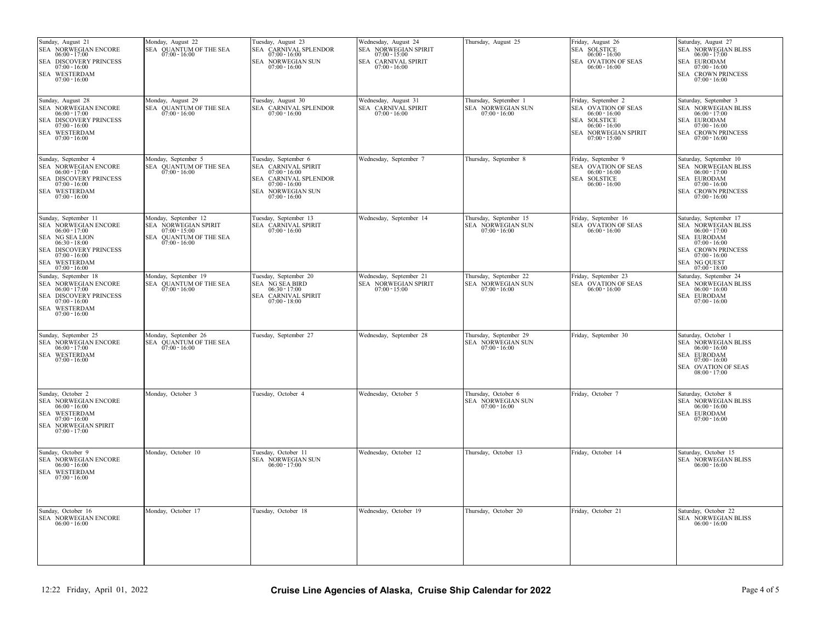| Sunday, August 28<br>Wednesday, August 31<br>Monday, August 29<br>Tuesday, August 30<br>Thursday, September 1<br>Friday, September 2<br>Saturday, September 3<br>SEA NORWEGIAN ENCORE<br>SEA CARNIVAL SPIRIT<br>SEA NORWEGIAN SUN<br>SEA OVATION OF SEAS<br>SEA NORWEGIAN BLISS<br>SEA QUANTUM OF THE SEA $07:00 - 16:00$<br>SEA CARNIVAL SPLENDOR<br>$07:00 - 16:00$<br>$07:00 - 16:00$<br>$07:00 - 16:00$<br>$06:00 - 17:00$<br>$06:00 - 16:00$<br>$06:00 - 17:00$<br>SEA DISCOVERY PRINCESS<br>SEA SOLSTICE<br>SEA EURODAM<br>$07:00 - 16:00$<br>$07:00 - 16:00$<br>$06:00 - 16:00$<br>SEA WESTERDAM<br>SEA NORWEGIAN SPIRIT<br>SEA CROWN PRINCESS<br>$07:00 - 16:00$<br>$07:00 - 15:00$<br>$07:00 - 16:00$<br>Saturday, September 10<br>Sunday, September 4<br>Monday, September 5<br>Tuesday, September 6<br>Wednesday, September 7<br>Thursday, September 8<br>Friday, September 9<br>SEA NORWEGIAN ENCORE<br>SEA QUANTUM OF THE SEA<br>SEA CARNIVAL SPIRIT<br>SEA OVATION OF SEAS<br>SEA NORWEGIAN BLISS<br>$07:00 - 16:00$<br>$06:00 - 17:00$<br>$06:00 - 17:00$<br>$07:00 - 16:00$<br>$06:00 - 16:00$<br>SEA DISCOVERY PRINCESS<br>SEA SOLSTICE<br>SEA EURODAM<br>SEA CARNIVAL SPLENDOR<br>$07:00 - 16:00$<br>$07:00 - 16:00$<br>$07:00 - 16:00$<br>$06:00 - 16:00$<br>SEA WESTERDAM<br>SEA NORWEGIAN SUN<br><b>SEA CROWN PRINCESS</b><br>$07:00 - 16:00$<br>$07:00 - 16:00$<br>$07:00 - 16:00$<br>Tuesday, September 13<br>Wednesday, September 14<br>Sunday, September 11<br>Monday, September 12<br>Thursday, September 15<br>Friday, September 16<br>Saturday, September 17<br>SEA NORWEGIAN ENCORE<br>SEA NORWEGIAN SPIRIT<br>SEA CARNIVAL SPIRIT<br>SEA NORWEGIAN SUN<br>SEA OVATION OF SEAS<br>SEA NORWEGIAN BLISS<br>$06:00 - 17:00$<br>$07:00 - 15:00$<br>$07:00 - 16:00$<br>$07:00 - 16:00$<br>$06:00 - 16:00$<br>$06:00 - 17:00$<br>SEA NG SEA LION<br>SEA EURODAM<br>SEA QUANTUM OF THE SEA<br>$06:30 - 18:00$<br>$07:00 - 16:00$<br>$07:00 - 16:00$<br>SEA DISCOVERY PRINCESS<br>SEA CROWN PRINCESS<br>$07:00 - 16:00$<br>$07:00 - 16:00$<br>SEA WESTERDAM<br>SEA NG QUEST<br>07:00 - 18:00<br>$07:00 - 16:00$<br>Tuesday, September 20<br>Wednesday, September 21<br>Thursday, September 22<br>Friday, September 23<br>Monday, September 19<br>Saturday, September 24<br>Sunday, September 18<br>SEA NORWEGIAN ENCORE<br><b>SEA NG SEA BIRD</b><br><b>SEA NORWEGIAN SPIRIT</b><br><b>SEA NORWEGIAN SUN</b><br>SEA OVATION OF SEAS<br>SEA NORWEGIAN BLISS<br>SEA QUANTUM OF THE SEA<br>$06:30 - 17:00$<br>$07:00 - 15:00$<br>$07:00 - 16:00$<br>$06:00 - 16:00$<br>$06:00 - 17:00$<br>$07:00 - 16:00$<br>$06:00 - 16:00$<br>SEA DISCOVERY PRINCESS<br>SEA CARNIVAL SPIRIT<br>SEA EURODAM<br>$07:00 - 16:00$<br>$07:00 - 16:00$<br>$07:00 - 18:00$<br>SEA WESTERDAM<br>$07:00 - 16:00$<br>Sunday, September 25<br>Monday, September 26<br>Tuesday, September 27<br>Wednesday, September 28<br>Thursday, September 29<br>Friday, September 30<br>Saturday, October 1<br>SEA NORWEGIAN ENCORE<br>SEA QUANTUM OF THE SEA<br>SEA NORWEGIAN SUN<br>SEA NORWEGIAN BLISS<br>$07:00 - 16:00$<br>$07:00 - 16:00$<br>$06:00 - 16:00$<br>$06:00 - 17:00$<br>SEA WESTERDAM<br>SEA EURODAM<br>$07:00 - 16:00$<br>$07:00 - 16:00$<br>SEA OVATION OF SEAS<br>$08:00 - 17:00$<br>Sunday, October 2<br>Monday, October 3<br>Tuesday, October 4<br>Wednesday, October 5<br>Thursday, October 6<br>Friday, October 7<br>Saturday, October 8<br>SEA NORWEGIAN ENCORE<br>SEA NORWEGIAN SUN<br>SEA NORWEGIAN BLISS<br>$06:00 - 16:00$<br>$07:00 - 16:00$<br>$06:00 - 16:00$<br>SEA WESTERDAM<br>SEA EURODAM<br>$07:00 - 16:00$<br>$07:00 - 16:00$<br>SEA NORWEGIAN SPIRIT<br>$07:00 - 17:00$<br>Sunday, October 9<br>Tuesday, October 11<br>Friday, October 14<br>Saturday, October 15<br>Monday, October 10<br>Wednesday, October 12<br>Thursday, October 13<br>SEA NORWEGIAN ENCORE<br>SEA NORWEGIAN SUN<br>SEA NORWEGIAN BLISS<br>$06:00 - 16:00$<br>$06:00 - 17:00$<br>$06:00 - 16:00$<br>SEA WESTERDAM<br>$07:00 - 16:00$<br>Sunday, October 16<br>Monday, October 17<br>Tuesday, October 18<br>Wednesday, October 19<br>Thursday, October 20<br>Friday, October 21<br>Saturday, October 22<br>SEA NORWEGIAN ENCORE $06:00 - 16:00$<br>SEA NORWEGIAN BLISS $06:00 - 16:00$ | SEA NORWEGIAN ENCORE<br>$06:00 - 17:00$<br>SEA DISCOVERY PRINCESS<br>$07:00 - 16:00$<br>SEA WESTERDAM<br>$07:00 - 16:00$ | Monday, August 22<br>SEA QUANTUM OF THE SEA<br>$07:00 - 16:00$ | Tuesday, August 23<br>SEA CARNIVAL SPLENDOR<br>$07:00 - 16:00$<br>SEA NORWEGIAN SUN<br>$07:00 - 16:00$ | Wednesday, August 24<br>SEA NORWEGIAN SPIRIT<br>$07:00 - 15:00$<br>SEA CARNIVAL SPIRIT<br>$07:00 - 16:00$ | Thursday, August 25 | Friday, August 26<br>SEA SOLSTICE<br>$06:00 - 16:00$<br>SEA OVATION OF SEAS<br>$06:00 - 16:00$ | Saturday, August 27<br>SEA NORWEGIAN BLISS<br>$06:00 - 17:00$<br>SEA EURODAM<br>$07:00 - 16:00$<br>SEA CROWN PRINCESS<br>$07:00 - 16:00$ |
|--------------------------------------------------------------------------------------------------------------------------------------------------------------------------------------------------------------------------------------------------------------------------------------------------------------------------------------------------------------------------------------------------------------------------------------------------------------------------------------------------------------------------------------------------------------------------------------------------------------------------------------------------------------------------------------------------------------------------------------------------------------------------------------------------------------------------------------------------------------------------------------------------------------------------------------------------------------------------------------------------------------------------------------------------------------------------------------------------------------------------------------------------------------------------------------------------------------------------------------------------------------------------------------------------------------------------------------------------------------------------------------------------------------------------------------------------------------------------------------------------------------------------------------------------------------------------------------------------------------------------------------------------------------------------------------------------------------------------------------------------------------------------------------------------------------------------------------------------------------------------------------------------------------------------------------------------------------------------------------------------------------------------------------------------------------------------------------------------------------------------------------------------------------------------------------------------------------------------------------------------------------------------------------------------------------------------------------------------------------------------------------------------------------------------------------------------------------------------------------------------------------------------------------------------------------------------------------------------------------------------------------------------------------------------------------------------------------------------------------------------------------------------------------------------------------------------------------------------------------------------------------------------------------------------------------------------------------------------------------------------------------------------------------------------------------------------------------------------------------------------------------------------------------------------------------------------------------------------------------------------------------------------------------------------------------------------------------------------------------------------------------------------------------------------------------------------------------------------------------------------------------------------------------------------------------------------------------------------------------------------------------------------------------------------------------------------------------------------------------------------------------------------------------------------------------------------------------------------------------------------------------------------------------------------------------------------------------------------------------------------------------------------------------------------------------------------------------------------------------------------------------------------------------------------------------------------------------------------------------------------------------------------------|--------------------------------------------------------------------------------------------------------------------------|----------------------------------------------------------------|--------------------------------------------------------------------------------------------------------|-----------------------------------------------------------------------------------------------------------|---------------------|------------------------------------------------------------------------------------------------|------------------------------------------------------------------------------------------------------------------------------------------|
|                                                                                                                                                                                                                                                                                                                                                                                                                                                                                                                                                                                                                                                                                                                                                                                                                                                                                                                                                                                                                                                                                                                                                                                                                                                                                                                                                                                                                                                                                                                                                                                                                                                                                                                                                                                                                                                                                                                                                                                                                                                                                                                                                                                                                                                                                                                                                                                                                                                                                                                                                                                                                                                                                                                                                                                                                                                                                                                                                                                                                                                                                                                                                                                                                                                                                                                                                                                                                                                                                                                                                                                                                                                                                                                                                                                                                                                                                                                                                                                                                                                                                                                                                                                                                                                                                |                                                                                                                          |                                                                |                                                                                                        |                                                                                                           |                     |                                                                                                |                                                                                                                                          |
|                                                                                                                                                                                                                                                                                                                                                                                                                                                                                                                                                                                                                                                                                                                                                                                                                                                                                                                                                                                                                                                                                                                                                                                                                                                                                                                                                                                                                                                                                                                                                                                                                                                                                                                                                                                                                                                                                                                                                                                                                                                                                                                                                                                                                                                                                                                                                                                                                                                                                                                                                                                                                                                                                                                                                                                                                                                                                                                                                                                                                                                                                                                                                                                                                                                                                                                                                                                                                                                                                                                                                                                                                                                                                                                                                                                                                                                                                                                                                                                                                                                                                                                                                                                                                                                                                |                                                                                                                          |                                                                |                                                                                                        |                                                                                                           |                     |                                                                                                |                                                                                                                                          |
|                                                                                                                                                                                                                                                                                                                                                                                                                                                                                                                                                                                                                                                                                                                                                                                                                                                                                                                                                                                                                                                                                                                                                                                                                                                                                                                                                                                                                                                                                                                                                                                                                                                                                                                                                                                                                                                                                                                                                                                                                                                                                                                                                                                                                                                                                                                                                                                                                                                                                                                                                                                                                                                                                                                                                                                                                                                                                                                                                                                                                                                                                                                                                                                                                                                                                                                                                                                                                                                                                                                                                                                                                                                                                                                                                                                                                                                                                                                                                                                                                                                                                                                                                                                                                                                                                |                                                                                                                          |                                                                |                                                                                                        |                                                                                                           |                     |                                                                                                |                                                                                                                                          |
|                                                                                                                                                                                                                                                                                                                                                                                                                                                                                                                                                                                                                                                                                                                                                                                                                                                                                                                                                                                                                                                                                                                                                                                                                                                                                                                                                                                                                                                                                                                                                                                                                                                                                                                                                                                                                                                                                                                                                                                                                                                                                                                                                                                                                                                                                                                                                                                                                                                                                                                                                                                                                                                                                                                                                                                                                                                                                                                                                                                                                                                                                                                                                                                                                                                                                                                                                                                                                                                                                                                                                                                                                                                                                                                                                                                                                                                                                                                                                                                                                                                                                                                                                                                                                                                                                |                                                                                                                          |                                                                |                                                                                                        |                                                                                                           |                     |                                                                                                |                                                                                                                                          |
|                                                                                                                                                                                                                                                                                                                                                                                                                                                                                                                                                                                                                                                                                                                                                                                                                                                                                                                                                                                                                                                                                                                                                                                                                                                                                                                                                                                                                                                                                                                                                                                                                                                                                                                                                                                                                                                                                                                                                                                                                                                                                                                                                                                                                                                                                                                                                                                                                                                                                                                                                                                                                                                                                                                                                                                                                                                                                                                                                                                                                                                                                                                                                                                                                                                                                                                                                                                                                                                                                                                                                                                                                                                                                                                                                                                                                                                                                                                                                                                                                                                                                                                                                                                                                                                                                |                                                                                                                          |                                                                |                                                                                                        |                                                                                                           |                     |                                                                                                |                                                                                                                                          |
|                                                                                                                                                                                                                                                                                                                                                                                                                                                                                                                                                                                                                                                                                                                                                                                                                                                                                                                                                                                                                                                                                                                                                                                                                                                                                                                                                                                                                                                                                                                                                                                                                                                                                                                                                                                                                                                                                                                                                                                                                                                                                                                                                                                                                                                                                                                                                                                                                                                                                                                                                                                                                                                                                                                                                                                                                                                                                                                                                                                                                                                                                                                                                                                                                                                                                                                                                                                                                                                                                                                                                                                                                                                                                                                                                                                                                                                                                                                                                                                                                                                                                                                                                                                                                                                                                |                                                                                                                          |                                                                |                                                                                                        |                                                                                                           |                     |                                                                                                |                                                                                                                                          |
|                                                                                                                                                                                                                                                                                                                                                                                                                                                                                                                                                                                                                                                                                                                                                                                                                                                                                                                                                                                                                                                                                                                                                                                                                                                                                                                                                                                                                                                                                                                                                                                                                                                                                                                                                                                                                                                                                                                                                                                                                                                                                                                                                                                                                                                                                                                                                                                                                                                                                                                                                                                                                                                                                                                                                                                                                                                                                                                                                                                                                                                                                                                                                                                                                                                                                                                                                                                                                                                                                                                                                                                                                                                                                                                                                                                                                                                                                                                                                                                                                                                                                                                                                                                                                                                                                |                                                                                                                          |                                                                |                                                                                                        |                                                                                                           |                     |                                                                                                |                                                                                                                                          |
|                                                                                                                                                                                                                                                                                                                                                                                                                                                                                                                                                                                                                                                                                                                                                                                                                                                                                                                                                                                                                                                                                                                                                                                                                                                                                                                                                                                                                                                                                                                                                                                                                                                                                                                                                                                                                                                                                                                                                                                                                                                                                                                                                                                                                                                                                                                                                                                                                                                                                                                                                                                                                                                                                                                                                                                                                                                                                                                                                                                                                                                                                                                                                                                                                                                                                                                                                                                                                                                                                                                                                                                                                                                                                                                                                                                                                                                                                                                                                                                                                                                                                                                                                                                                                                                                                |                                                                                                                          |                                                                |                                                                                                        |                                                                                                           |                     |                                                                                                |                                                                                                                                          |